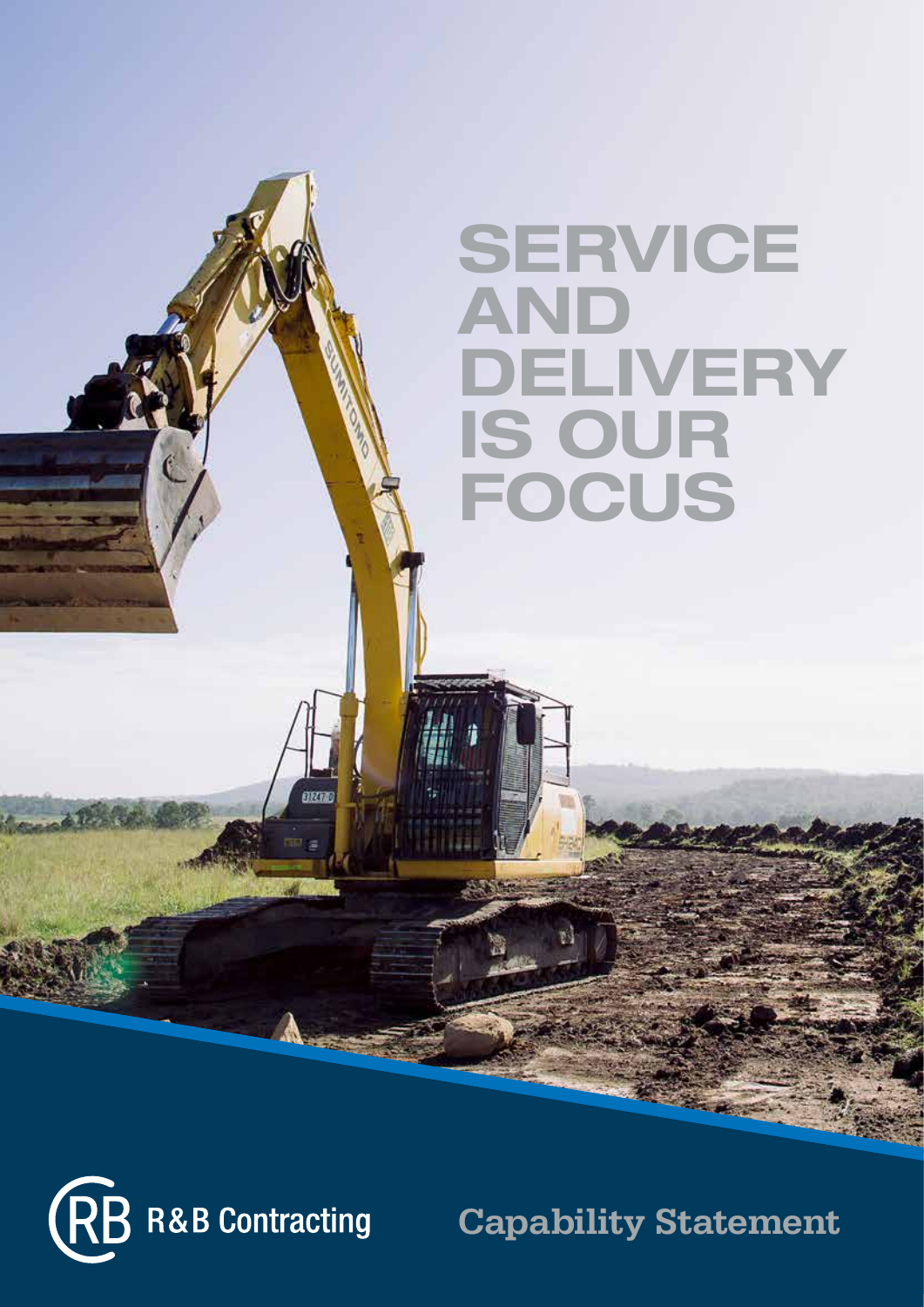### **SERVICE** AND DELIVERY IS OUR FOCUS



Capability Statement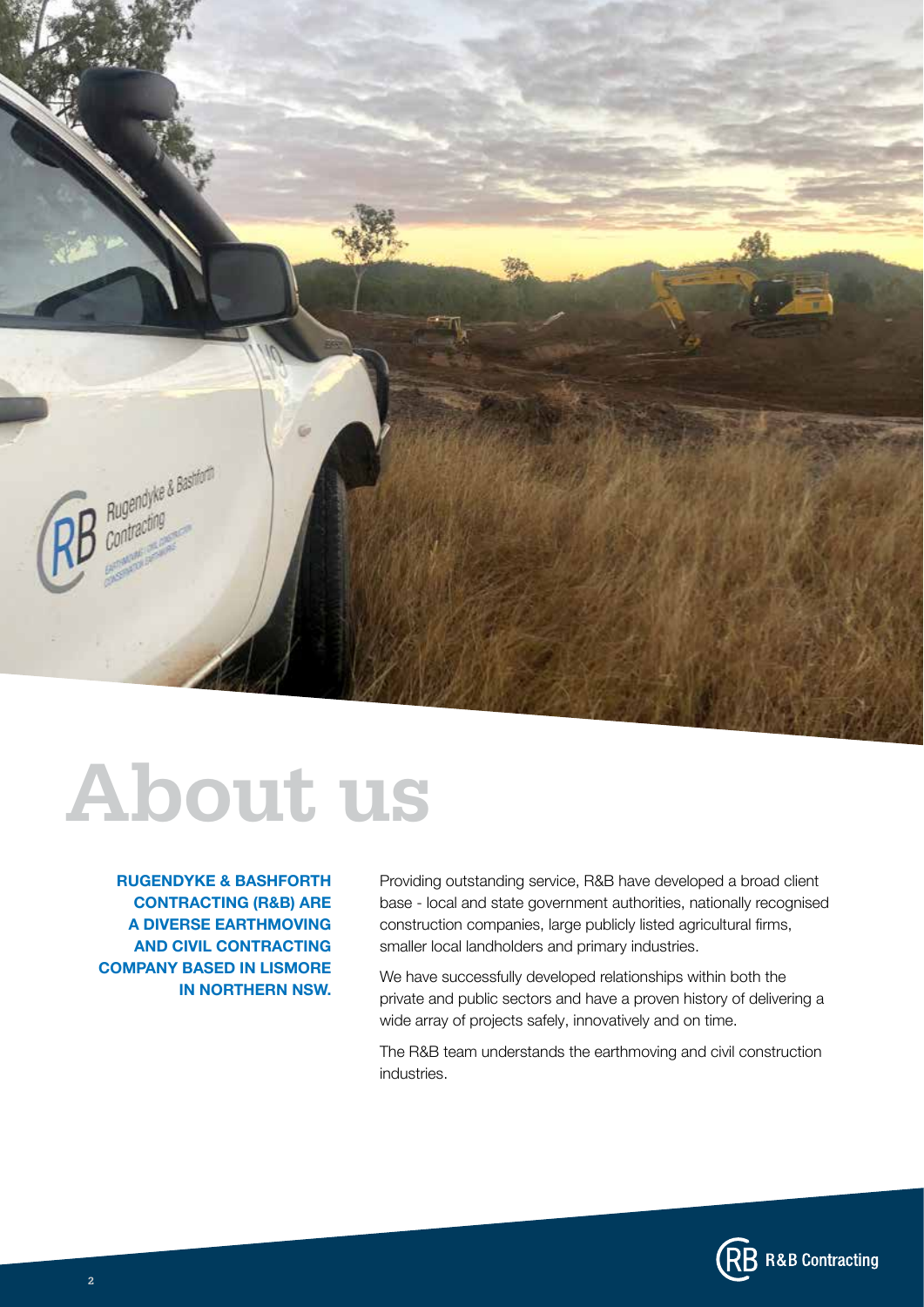

### About us

RUGENDYKE & BASHFORTH CONTRACTING (R&B) ARE A DIVERSE EARTHMOVING AND CIVIL CONTRACTING COMPANY BASED IN LISMORE IN NORTHERN NSW.

Providing outstanding service, R&B have developed a broad client base - local and state government authorities, nationally recognised construction companies, large publicly listed agricultural firms, smaller local landholders and primary industries.

We have successfully developed relationships within both the private and public sectors and have a proven history of delivering a wide array of projects safely, innovatively and on time.

The R&B team understands the earthmoving and civil construction industries.

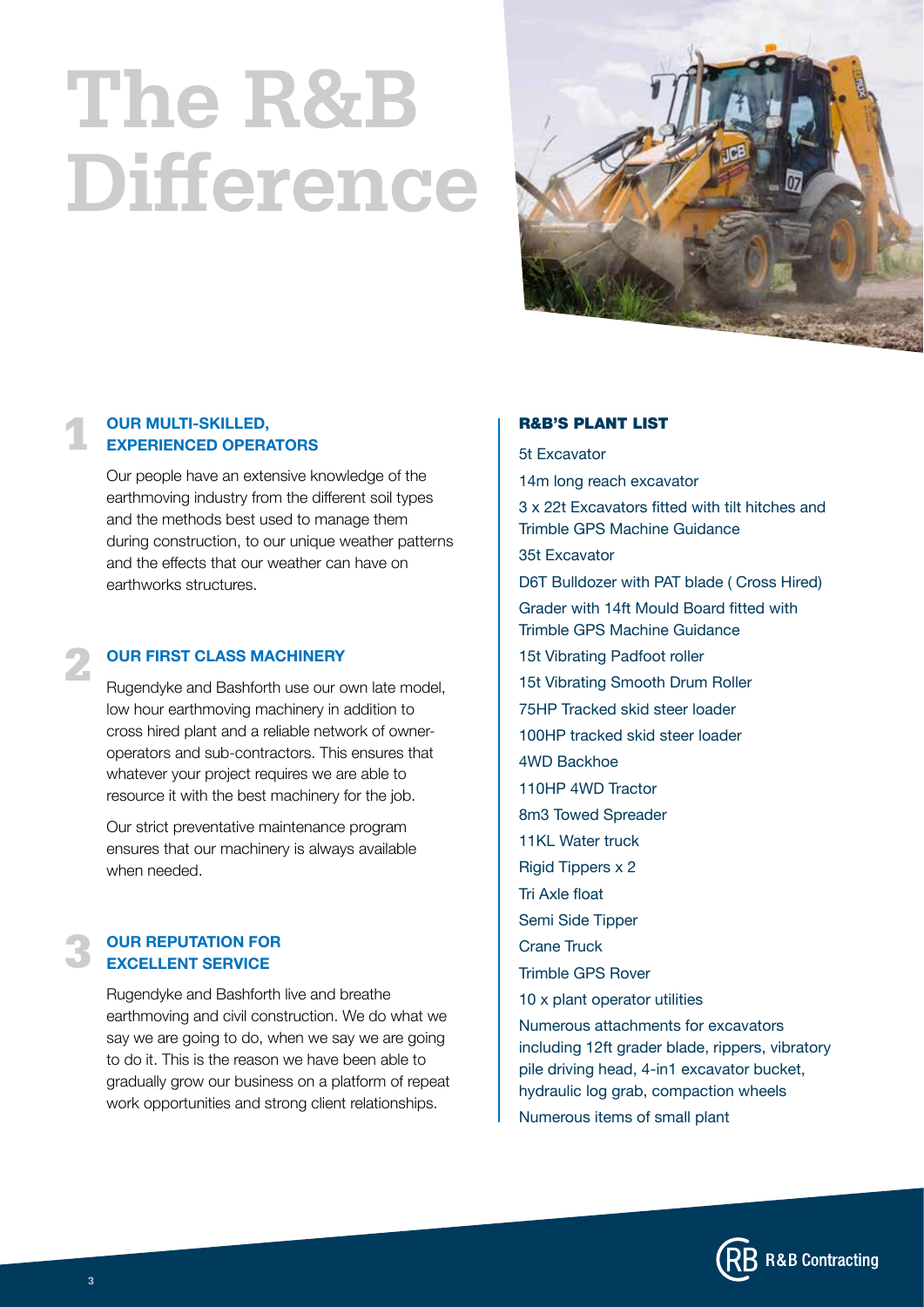### The R&B Difference



#### OUR MULTI-SKILLED, EXPERIENCED OPERATORS 1

Our people have an extensive knowledge of the earthmoving industry from the different soil types and the methods best used to manage them during construction, to our unique weather patterns and the effects that our weather can have on earthworks structures.

#### OUR FIRST CLASS MACHINERY

Rugendyke and Bashforth use our own late model, low hour earthmoving machinery in addition to cross hired plant and a reliable network of owneroperators and sub-contractors. This ensures that whatever your project requires we are able to resource it with the best machinery for the job.

Our strict preventative maintenance program ensures that our machinery is always available when needed.

#### OUR REPUTATION FOR EXCELLENT SERVICE 3

Rugendyke and Bashforth live and breathe earthmoving and civil construction. We do what we say we are going to do, when we say we are going to do it. This is the reason we have been able to gradually grow our business on a platform of repeat work opportunities and strong client relationships.

#### R&B'S PLANT LIST

5t Excavator 14m long reach excavator 3 x 22t Excavators fitted with tilt hitches and Trimble GPS Machine Guidance

35t Excavator

D6T Bulldozer with PAT blade ( Cross Hired) Grader with 14ft Mould Board fitted with Trimble GPS Machine Guidance 15t Vibrating Padfoot roller 15t Vibrating Smooth Drum Roller 75HP Tracked skid steer loader 100HP tracked skid steer loader 4WD Backhoe 110HP 4WD Tractor 8m3 Towed Spreader 11KL Water truck Rigid Tippers x 2 Tri Axle float Semi Side Tipper Crane Truck Trimble GPS Rover 10 x plant operator utilities

Numerous attachments for excavators including 12ft grader blade, rippers, vibratory pile driving head, 4-in1 excavator bucket, hydraulic log grab, compaction wheels Numerous items of small plant



2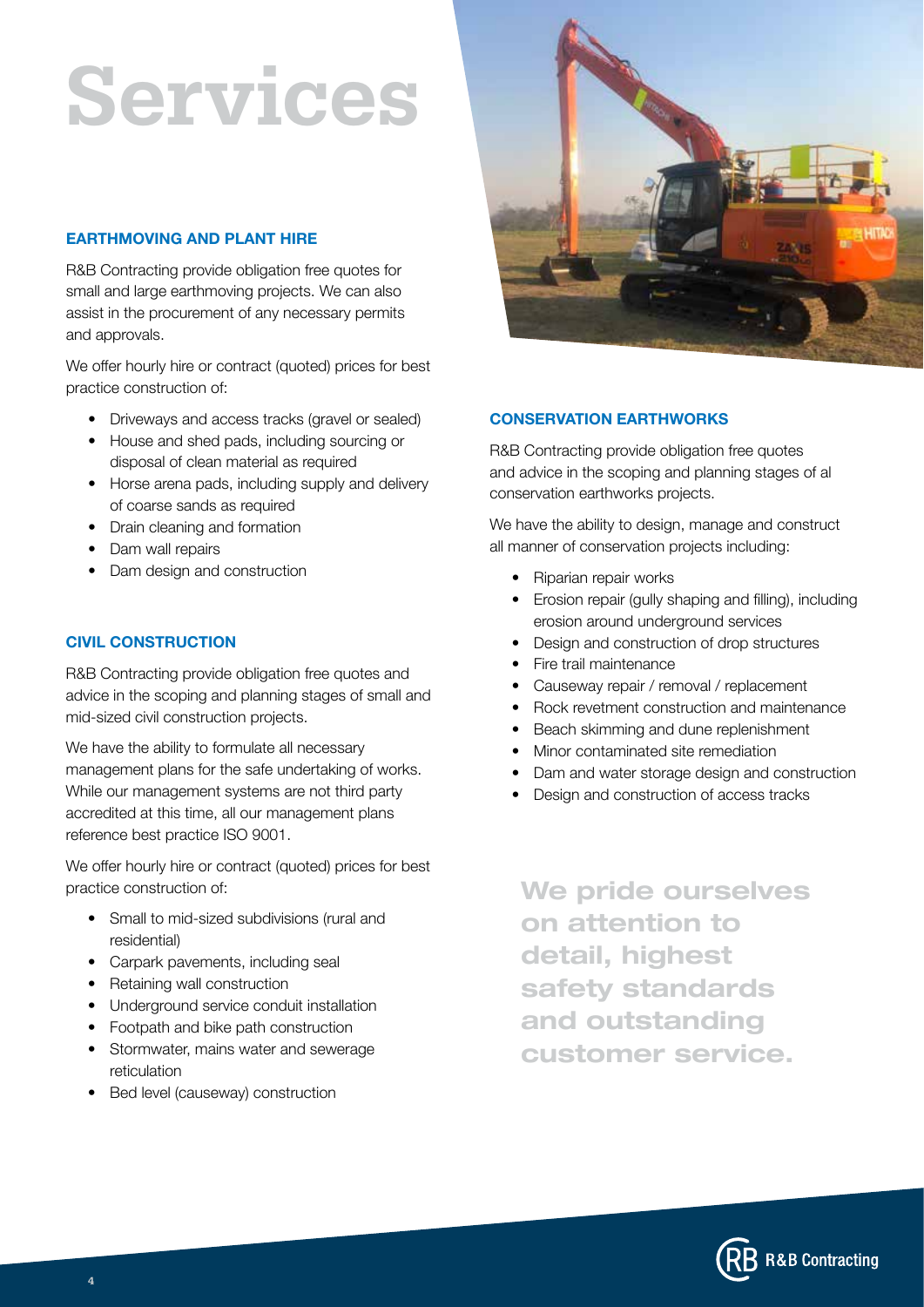### Services

#### EARTHMOVING AND PLANT HIRE

R&B Contracting provide obligation free quotes for small and large earthmoving projects. We can also assist in the procurement of any necessary permits and approvals.

We offer hourly hire or contract (quoted) prices for best practice construction of:

- Driveways and access tracks (gravel or sealed)
- House and shed pads, including sourcing or disposal of clean material as required
- Horse arena pads, including supply and delivery of coarse sands as required
- Drain cleaning and formation
- Dam wall repairs
- Dam design and construction

#### CIVIL CONSTRUCTION

R&B Contracting provide obligation free quotes and advice in the scoping and planning stages of small and mid-sized civil construction projects.

We have the ability to formulate all necessary management plans for the safe undertaking of works. While our management systems are not third party accredited at this time, all our management plans reference best practice ISO 9001.

We offer hourly hire or contract (quoted) prices for best practice construction of:

- Small to mid-sized subdivisions (rural and residential)
- Carpark pavements, including seal
- Retaining wall construction
- Underground service conduit installation
- Footpath and bike path construction
- Stormwater, mains water and sewerage reticulation
- Bed level (causeway) construction



#### CONSERVATION EARTHWORKS

R&B Contracting provide obligation free quotes and advice in the scoping and planning stages of al conservation earthworks projects.

We have the ability to design, manage and construct all manner of conservation projects including:

- Riparian repair works
- Erosion repair (gully shaping and filling), including erosion around underground services
- Design and construction of drop structures
- Fire trail maintenance
- Causeway repair / removal / replacement
- Rock revetment construction and maintenance
- Beach skimming and dune replenishment
- Minor contaminated site remediation
- Dam and water storage design and construction
- Design and construction of access tracks

We pride ourselves on attention to detail, highest safety standards and outstanding customer service.

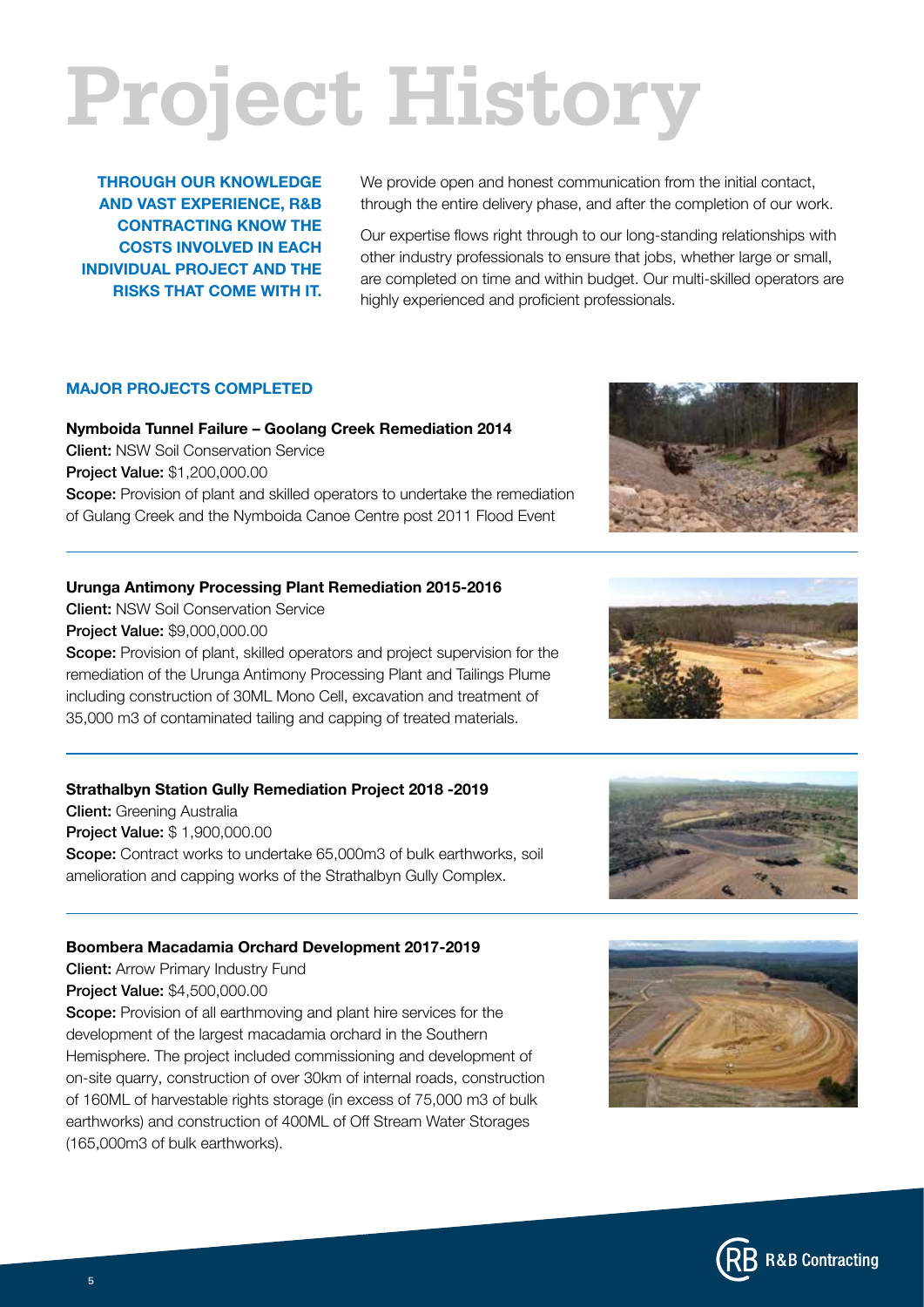# Project History

THROUGH OUR KNOWLEDGE AND VAST EXPERIENCE, R&B CONTRACTING KNOW THE COSTS INVOLVED IN EACH INDIVIDUAL PROJECT AND THE RISKS THAT COME WITH IT.

We provide open and honest communication from the initial contact, through the entire delivery phase, and after the completion of our work.

Our expertise flows right through to our long-standing relationships with other industry professionals to ensure that jobs, whether large or small, are completed on time and within budget. Our multi-skilled operators are highly experienced and proficient professionals.

#### MAJOR PROJECTS COMPLETED

Nymboida Tunnel Failure – Goolang Creek Remediation 2014 Client: NSW Soil Conservation Service Project Value: \$1,200,000.00 Scope: Provision of plant and skilled operators to undertake the remediation of Gulang Creek and the Nymboida Canoe Centre post 2011 Flood Event

#### Urunga Antimony Processing Plant Remediation 2015-2016

Client: NSW Soil Conservation Service Project Value: \$9,000,000.00 Scope: Provision of plant, skilled operators and project supervision for the remediation of the Urunga Antimony Processing Plant and Tailings Plume including construction of 30ML Mono Cell, excavation and treatment of 35,000 m3 of contaminated tailing and capping of treated materials.

#### Strathalbyn Station Gully Remediation Project 2018 -2019

Client: Greening Australia Project Value: \$ 1,900,000.00 Scope: Contract works to undertake 65,000m3 of bulk earthworks, soil amelioration and capping works of the Strathalbyn Gully Complex.

#### Boombera Macadamia Orchard Development 2017-2019

**Client:** Arrow Primary Industry Fund Project Value: \$4,500,000.00

Scope: Provision of all earthmoving and plant hire services for the development of the largest macadamia orchard in the Southern Hemisphere. The project included commissioning and development of on-site quarry, construction of over 30km of internal roads, construction of 160ML of harvestable rights storage (in excess of 75,000 m3 of bulk earthworks) and construction of 400ML of Off Stream Water Storages (165,000m3 of bulk earthworks).









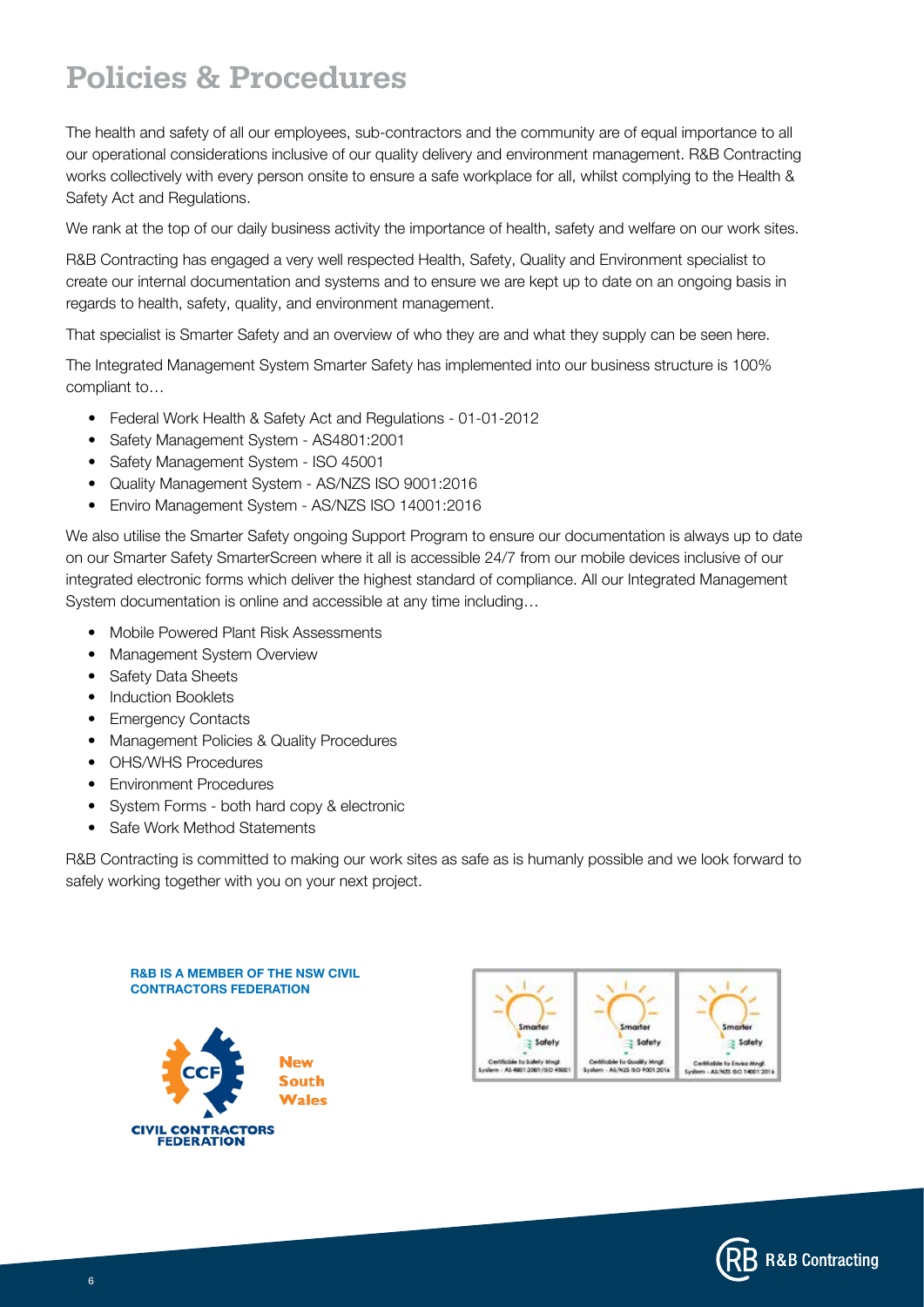### Policies & Procedures

The health and safety of all our employees, sub-contractors and the community are of equal importance to all our operational considerations inclusive of our quality delivery and environment management. R&B Contracting works collectively with every person onsite to ensure a safe workplace for all, whilst complying to the Health & Safety Act and Regulations.

We rank at the top of our daily business activity the importance of health, safety and welfare on our work sites.

R&B Contracting has engaged a very well respected Health, Safety, Quality and Environment specialist to create our internal documentation and systems and to ensure we are kept up to date on an ongoing basis in regards to health, safety, quality, and environment management.

That specialist is Smarter Safety and an overview of who they are and what they supply can be seen here.

The Integrated Management System Smarter Safety has implemented into our business structure is 100% compliant to…

- Federal Work Health & Safety Act and Regulations 01-01-2012
- Safety Management System AS4801:2001
- Safety Management System ISO 45001
- Quality Management System AS/NZS ISO 9001:2016
- Enviro Management System AS/NZS ISO 14001:2016

We also utilise the Smarter Safety ongoing Support Program to ensure our documentation is always up to date on our Smarter Safety SmarterScreen where it all is accessible 24/7 from our mobile devices inclusive of our integrated electronic forms which deliver the highest standard of compliance. All our Integrated Management System documentation is online and accessible at any time including…

- Mobile Powered Plant Risk Assessments
- Management System Overview
- Safety Data Sheets
- Induction Booklets
- Emergency Contacts
- Management Policies & Quality Procedures
- OHS/WHS Procedures
- Environment Procedures
- System Forms both hard copy & electronic
- Safe Work Method Statements

R&B Contracting is committed to making our work sites as safe as is humanly possible and we look forward to safely working together with you on your next project.

R&B IS A MEMBER OF THE NSW CIVIL CONTRACTORS FEDERATION





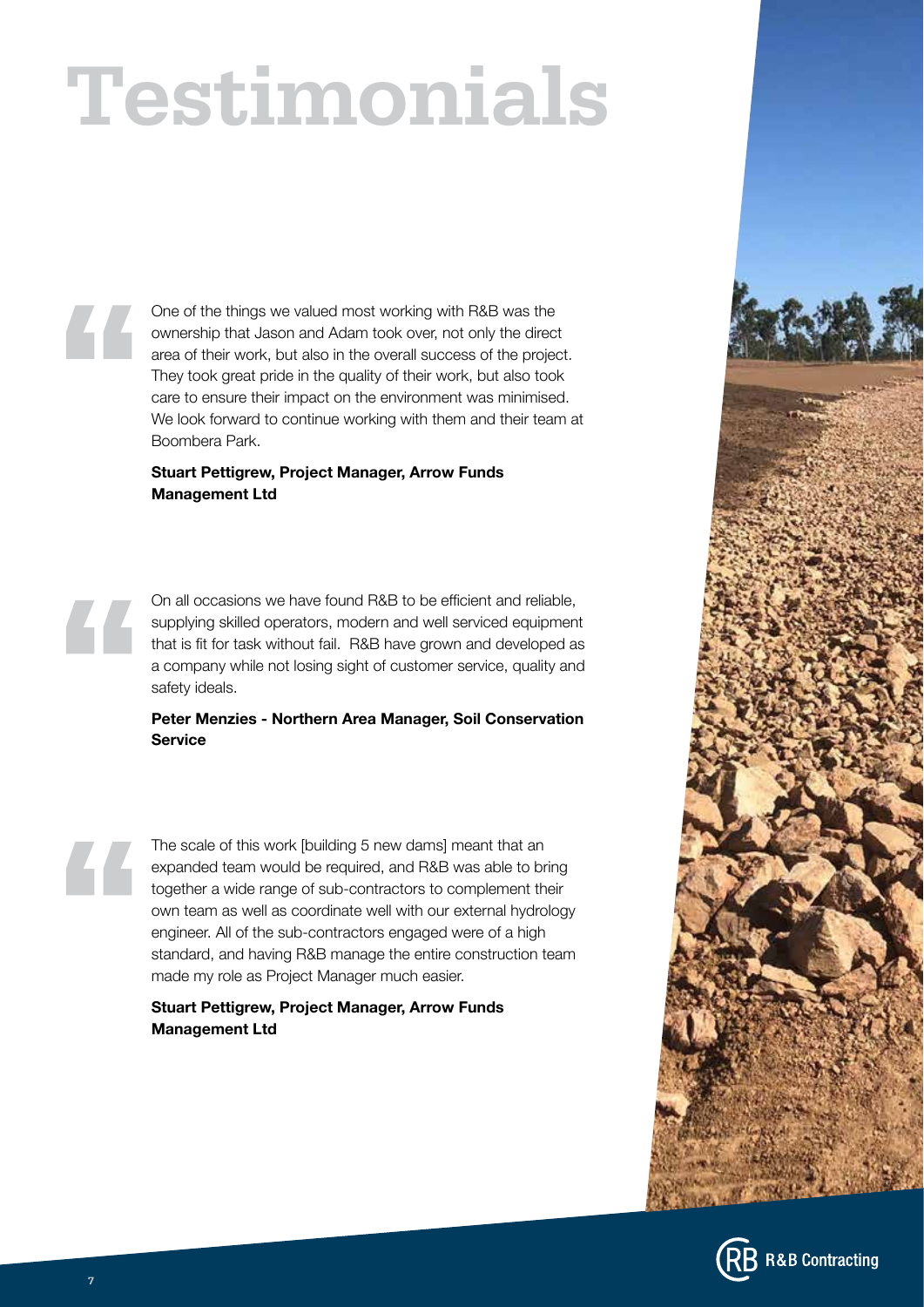# Testimonials

One of the things we valued most working with R&B was the ownership that Jason and Adam took over, not only the direct area of their work, but also in the overall success of the project. They took great pride in the quality of their work, but also took care to ensure their impact on the environment was minimised. We look forward to continue working with them and their team at Boombera Park.

#### Stuart Pettigrew, Project Manager, Arrow Funds Management Ltd

On all occasions we have found R&B to be efficient and reliable, supplying skilled operators, modern and well serviced equipment that is fit for task without fail. R&B have grown and developed as a company while not losing sight of customer service, quality and safety ideals.

#### Peter Menzies - Northern Area Manager, Soil Conservation **Service**

The scale of this work [building 5 new dams] meant that an expanded team would be required, and R&B was able to bring together a wide range of sub-contractors to complement their own team as well as coordinate well with our external hydrology engineer. All of the sub-contractors engaged were of a high standard, and having R&B manage the entire construction team made my role as Project Manager much easier.

Stuart Pettigrew, Project Manager, Arrow Funds Management Ltd